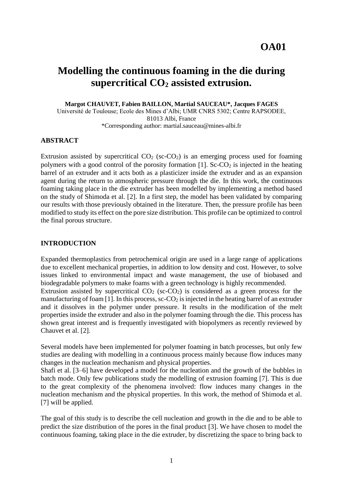# **Modelling the continuous foaming in the die during supercritical CO<sup>2</sup> assisted extrusion.**

<span id="page-0-0"></span>**Margot CHAUVET, Fabien BAILLON, Martial SAUCEAU\*, Jacques FAGES**

Université de Toulouse; Ecole des Mines d'Albi; UMR CNRS 5302; Centre RAPSODEE, 81013 Albi, France \*Corresponding author: martial.sauceau@mines-albi.fr

## **ABSTRACT**

Extrusion assisted by supercritical  $CO<sub>2</sub>$  (sc- $CO<sub>2</sub>$ ) is an emerging process used for foaming polymers with a good control of the porosity formation  $[1]$ . Sc-CO<sub>2</sub> is injected in the heating barrel of an extruder and it acts both as a plasticizer inside the extruder and as an expansion agent during the return to atmospheric pressure through the die. In this work, the continuous foaming taking place in the die extruder has been modelled by implementing a method based on the study of Shimoda et al. [2]. In a first step, the model has been validated by comparing our results with those previously obtained in the literature. Then, the pressure profile has been modified to study its effect on the pore size distribution. This profile can be optimized to control the final porous structure.

## **INTRODUCTION**

Expanded thermoplastics from petrochemical origin are used in a large range of applications due to excellent mechanical properties, in addition to low density and cost. However, to solve issues linked to environmental impact and waste management, the use of biobased and biodegradable polymers to make foams with a green technology is highly recommended. Extrusion assisted by supercritical  $CO<sub>2</sub>$  (sc- $CO<sub>2</sub>$ ) is considered as a green process for the manufacturing of foam  $[1]$ . In this process, sc-CO<sub>2</sub> is injected in the heating barrel of an extruder and it dissolves in the polymer under pressure. It results in the modification of the melt properties inside the extruder and also in the polymer foaming through the die. This process has shown great interest and is frequently investigated with biopolymers as recently reviewed by Chauvet et al. [2].

Several models have been implemented for polymer foaming in batch processes, but only few studies are dealing with modelling in a continuous process mainly because flow induces many changes in the nucleation mechanism and physical properties.

Shafi et al. [3–6] have developed a model for the nucleation and the growth of the bubbles in batch mode. Only few publications study the modelling of extrusion foaming [7]. This is due to the great complexity of the phenomena involved: flow induces many changes in the nucleation mechanism and the physical properties. In this work, the method of Shimoda et al. [7] will be applied.

The goal of this study is to describe the cell nucleation and growth in the die and to be able to predict the size distribution of the pores in the final product [3]. We have chosen to model the continuous foaming, taking place in the die extruder, by discretizing the space to bring back to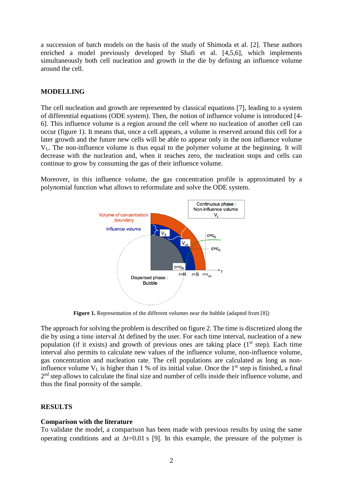<span id="page-1-1"></span><span id="page-1-0"></span>a succession of batch models on the basis of the study of Shimoda et al. [2]. These authors enriched a model previously developed by Shafi et al. [4,5,6], which implements simultaneously both cell nucleation and growth in the die by defining an influence volume around the cell.

## **MODELLING**

The cell nucleation and growth are represented by classical equations [7], leading to a system of differential equations (ODE system). Then, the notion of influence volume is introduced [\[4-](#page-1-0) [6\]](#page-1-1). This influence volume is a region around the cell where no nucleation of another cell can occur (figure 1). It means that, once a cell appears, a volume is reserved around this cell for a later growth and the future new cells will be able to appear only in the non influence volume VL. The non-influence volume is thus equal to the polymer volume at the beginning. It will decrease with the nucleation and, when it reaches zero, the nucleation stops and cells can continue to grow by consuming the gas of their influence volume.

Moreover, in this influence volume, the gas concentration profile is approximated by a polynomial function what allows to reformulate and solve the ODE system.



**Figure 1.** Representation of the different volumes near the bubble (adapted from [8])

The approach for solving the problem is described on figure 2. The time is discretized along the die by using a time interval Δt defined by the user. For each time interval, nucleation of a new population (if it exists) and growth of previous ones are taking place  $(1<sup>st</sup> step)$ . Each time interval also permits to calculate new values of the influence volume, non-influence volume, gas concentration and nucleation rate. The cell populations are calculated as long as noninfluence volume  $V<sub>L</sub>$  is higher than 1 % of its initial value. Once the 1<sup>st</sup> step is finished, a final 2<sup>nd</sup> step allows to calculate the final size and number of cells inside their influence volume, and thus the final porosity of the sample.

# **RESULTS**

# **Comparison with the literature**

To validate the model, a comparison has been made with previous results by using the same operating conditions and at  $\Delta t = 0.01$  s [9]. In this example, the pressure of the polymer is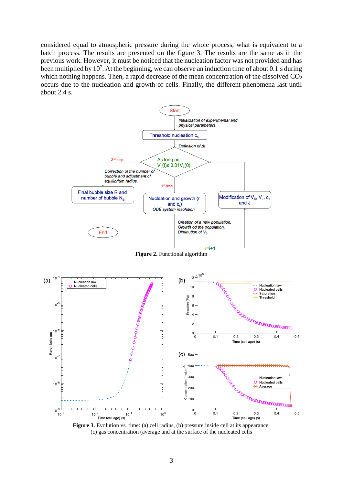considered equal to atmospheric pressure during the whole process, what is equivalent to a batch process. The results are presented on the figure 3. The results are the same as in the previous work. However, it must be noticed that the nucleation factor was not provided and has been multiplied by  $10^7$ . At the beginning, we can observe an induction time of about 0.1 s during which nothing happens. Then, a rapid decrease of the mean concentration of the dissolved  $CO<sub>2</sub>$ occurs due to the nucleation and growth of cells. Finally, the different phenomena last until about 2.4 s.



**Figure 2.** Functional algorithm



Figure 3. Evolution vs. time: (a) cell radius, (b) pressure inside cell at its appearance, (c) gas concentration (average and at the surface of the nucleated cells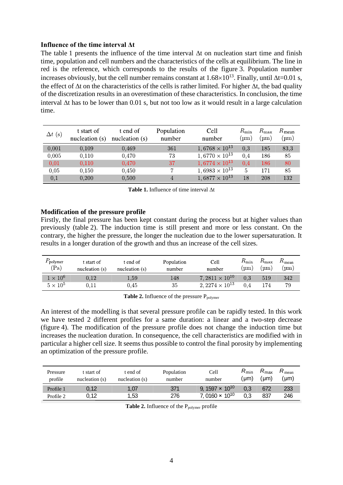## **Influence of the time interval Δt**

The table 1 presents the influence of the time interval  $\Delta t$  on nucleation start time and finish time, population and cell numbers and the characteristics of the cells at equilibrium. The line in red is the reference, which corresponds to the results of the figure 3. Population number increases obviously, but the cell number remains constant at  $1.68\times10^{13}$ . Finally, until  $\Delta t=0.01$  s, the effect of  $\Delta t$  on the characteristics of the cells is rather limited. For higher  $\Delta t$ , the bad quality of the discretization results in an overestimation of these characteristics. In conclusion, the time interval  $\Delta t$  has to be lower than 0.01 s, but not too low as it would result in a large calculation time.

| $\Delta t$ (s) | t start of<br>nucleation $(s)$ | t end of<br>nucleation $(s)$ | Population<br>number | Cell<br>number          | $R_{\rm min}$<br>$\mu$ m | $R_{\rm max}$<br>$\mu$ m | $R_{\text{mean}}$<br>$\mu$ m |
|----------------|--------------------------------|------------------------------|----------------------|-------------------------|--------------------------|--------------------------|------------------------------|
| 0,001          | 0,109                          | 0,469                        | 361                  | $1,6768 \times 10^{13}$ | 0.3                      | 185                      | 83,3                         |
| 0,005          | 0,110                          | 0,470                        | 73                   | $1,6770 \times 10^{13}$ | 0.4                      | 186                      | 85                           |
| 0.01           | 0.110                          | 0,470                        | 37                   | $1,6774 \times 10^{13}$ | 0.4                      | 186                      | 80                           |
| 0.05           | 0.150                          | 0,450                        | −                    | $1,6983 \times 10^{13}$ | 5                        | 171                      | 85                           |
| 0,1            | 0,200                          | 0,500                        | 4                    | $1,6877 \times 10^{13}$ | 18                       | 208                      | 132                          |

**Table 1.** Influence of time interval At

#### **Modification of the pressure profile**

Firstly, the final pressure has been kept constant during the process but at higher values than previously (table 2). The induction time is still present and more or less constant. On the contrary, the higher the pressure, the longer the nucleation due to the lower supersaturation. It results in a longer duration of the growth and thus an increase of the cell sizes.

| $F_{\text{polymer}}$ | t start of       | t end of         | Population | Cell                    | $R_{\rm min}$ | $\kappa_{\rm max}$ | <sup>1</sup> mean |
|----------------------|------------------|------------------|------------|-------------------------|---------------|--------------------|-------------------|
| (Pa)                 | nucleation $(s)$ | nucleation $(s)$ | number     | number                  | $\mu$ m       | 'um                | $\mu$ m           |
| l $\times$ $10^6$    | 0.12             | $1.59\,$         | 148        | $7,2811 \times 10^{10}$ | 0.3           | 519                | 342               |
| $5\times10^5$        | $0.11\,$         | $\rm 0.45$       | 35         | $2,2274 \times 10^{13}$ | 0.4           | 174                | 79                |

Table 2. Influence of the pressure P<sub>polymer</sub>

An interest of the modelling is that several pressure profile can be rapidly tested. In this work we have tested 2 different profiles for a same duration: a linear and a two-step decrease (figure 4). The modification of the pressure profile does not change the induction time but increases the nucleation duration. In consequence, the cell characteristics are modified with in particular a higher cell size. It seems thus possible to control the final porosity by implementing particular an optimization of the pressure profile. Treation of the pressure profile does not change the<br>fication of the pressure profile does not change the<br>ion duration. In consequence, the cell characteristics a<br>Il size. It seems thus possible to control the final porosi

|                     | an optimization of the pressure profile. |                              |                      |                                   |                          |                          |                           |
|---------------------|------------------------------------------|------------------------------|----------------------|-----------------------------------|--------------------------|--------------------------|---------------------------|
| Pressure<br>profile | t start of<br>nucleation $(s)$           | t end of<br>nucleation $(s)$ | Population<br>number | Cell<br>number                    | $R_{\text{min}}$<br>(µm) | $R_{\text{max}}$<br>(µm) | $R_{\text{mean}}$<br>(µm) |
| Profile 1           | 0.12                                     | 1,07                         | 371                  | 9, 1597 $\times$ 10 <sup>10</sup> | 0.3                      | 672                      | 233                       |
| Profile 2           | 0.12                                     | 1,53                         | 276                  | 7,0160 $\times$ 10 <sup>10</sup>  | 0,3                      | 837                      | 246                       |

**Table 2.** Influence of the P<sub>polymer</sub> profile **Profil 4.** Influence of the 1 polymer profile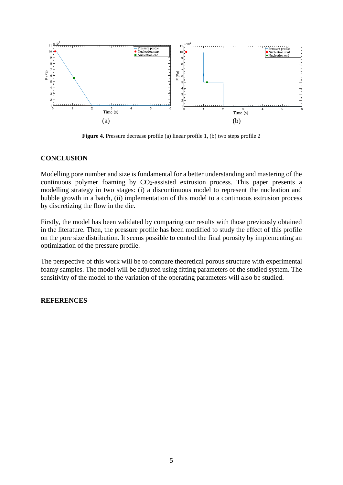

**Figure 4.** Pressure decrease profile (a) linear profile 1, (b) two steps profile 2

## **CONCLUSION**

Modelling pore number and size is fundamental for a better understanding and mastering of the continuous polymer foaming by  $CO<sub>2</sub>$ -assisted extrusion process. This paper presents a modelling strategy in two stages: (i) a discontinuous model to represent the nucleation and bubble growth in a batch, (ii) implementation of this model to a continuous extrusion process by discretizing the flow in the die.

Firstly, the model has been validated by comparing our results with those previously obtained in the literature. Then, the pressure profile has been modified to study the effect of this profile on the pore size distribution. It seems possible to control the final porosity by implementing an optimization of the pressure profile.

The perspective of this work will be to compare theoretical porous structure with experimental foamy samples. The model will be adjusted using fitting parameters of the studied system. The sensitivity of the model to the variation of the operating parameters will also be studied.

## **REFERENCES**